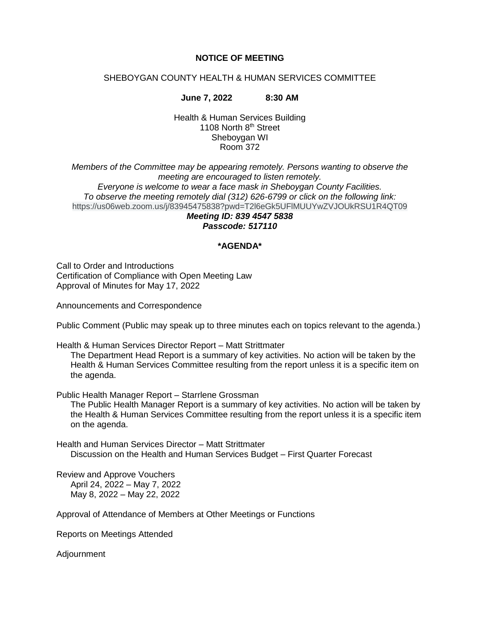#### **NOTICE OF MEETING**

#### SHEBOYGAN COUNTY HEALTH & HUMAN SERVICES COMMITTEE

**June 7, 2022 8:30 AM**

Health & Human Services Building 1108 North 8<sup>th</sup> Street Sheboygan WI Room 372

*Members of the Committee may be appearing remotely. Persons wanting to observe the meeting are encouraged to listen remotely. Everyone is welcome to wear a face mask in Sheboygan County Facilities. To observe the meeting remotely dial (312) 626-6799 or click on the following link:* https://us06web.zoom.us/j/83945475838?pwd=T2l6eGk5UFlMUUYwZVJOUkRSU1R4QT09 *Meeting ID: 839 4547 5838*

## *Passcode: 517110*

#### **\*AGENDA\***

Call to Order and Introductions Certification of Compliance with Open Meeting Law Approval of Minutes for May 17, 2022

Announcements and Correspondence

Public Comment (Public may speak up to three minutes each on topics relevant to the agenda.)

Health & Human Services Director Report – Matt Strittmater

The Department Head Report is a summary of key activities. No action will be taken by the Health & Human Services Committee resulting from the report unless it is a specific item on the agenda.

Public Health Manager Report – Starrlene Grossman

The Public Health Manager Report is a summary of key activities. No action will be taken by the Health & Human Services Committee resulting from the report unless it is a specific item on the agenda.

Health and Human Services Director – Matt Strittmater Discussion on the Health and Human Services Budget – First Quarter Forecast

Review and Approve Vouchers April 24, 2022 – May 7, 2022 May 8, 2022 – May 22, 2022

Approval of Attendance of Members at Other Meetings or Functions

Reports on Meetings Attended

Adjournment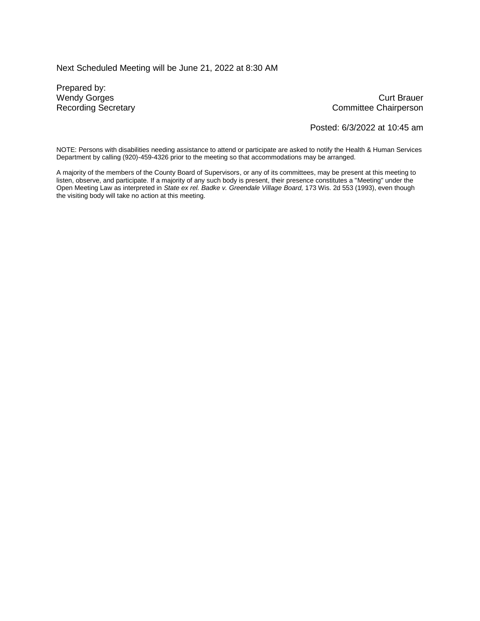Next Scheduled Meeting will be June 21, 2022 at 8:30 AM

Prepared by:

Wendy Gorges Curt Brauer Recording Secretary **Committee Chairperson** 

Posted: 6/3/2022 at 10:45 am

NOTE: Persons with disabilities needing assistance to attend or participate are asked to notify the Health & Human Services Department by calling (920)-459-4326 prior to the meeting so that accommodations may be arranged.

A majority of the members of the County Board of Supervisors, or any of its committees, may be present at this meeting to listen, observe, and participate. If a majority of any such body is present, their presence constitutes a "Meeting" under the Open Meeting Law as interpreted in *State ex rel. Badke v. Greendale Village Board,* 173 Wis. 2d 553 (1993), even though the visiting body will take no action at this meeting.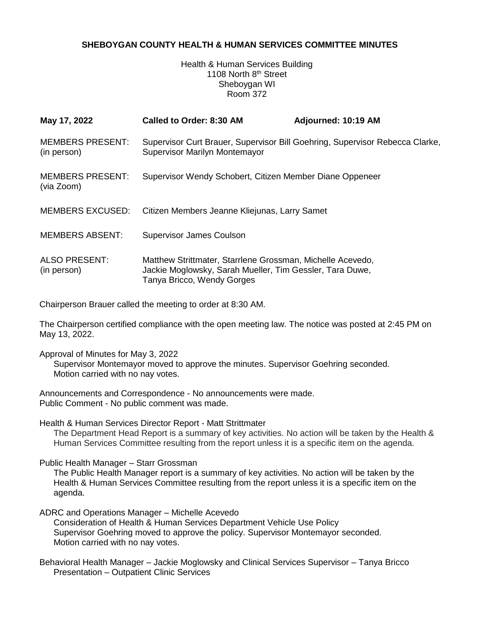#### **SHEBOYGAN COUNTY HEALTH & HUMAN SERVICES COMMITTEE MINUTES**

Health & Human Services Building 1108 North 8<sup>th</sup> Street Sheboygan WI Room 372

| May 17, 2022                           | Called to Order: 8:30 AM                                                                                                                             | Adjourned: 10:19 AM |  |
|----------------------------------------|------------------------------------------------------------------------------------------------------------------------------------------------------|---------------------|--|
| <b>MEMBERS PRESENT:</b><br>(in person) | Supervisor Curt Brauer, Supervisor Bill Goehring, Supervisor Rebecca Clarke,<br>Supervisor Marilyn Montemayor                                        |                     |  |
| <b>MEMBERS PRESENT:</b><br>(via Zoom)  | Supervisor Wendy Schobert, Citizen Member Diane Oppeneer                                                                                             |                     |  |
| <b>MEMBERS EXCUSED:</b>                | Citizen Members Jeanne Kliejunas, Larry Samet                                                                                                        |                     |  |
| <b>MEMBERS ABSENT:</b>                 | <b>Supervisor James Coulson</b>                                                                                                                      |                     |  |
| <b>ALSO PRESENT:</b><br>(in person)    | Matthew Strittmater, Starrlene Grossman, Michelle Acevedo,<br>Jackie Moglowsky, Sarah Mueller, Tim Gessler, Tara Duwe,<br>Tanya Bricco, Wendy Gorges |                     |  |

Chairperson Brauer called the meeting to order at 8:30 AM.

The Chairperson certified compliance with the open meeting law. The notice was posted at 2:45 PM on May 13, 2022.

Approval of Minutes for May 3, 2022

Supervisor Montemayor moved to approve the minutes. Supervisor Goehring seconded. Motion carried with no nay votes.

Announcements and Correspondence - No announcements were made. Public Comment - No public comment was made.

Health & Human Services Director Report - Matt Strittmater The Department Head Report is a summary of key activities. No action will be taken by the Health & Human Services Committee resulting from the report unless it is a specific item on the agenda.

Public Health Manager – Starr Grossman

The Public Health Manager report is a summary of key activities. No action will be taken by the Health & Human Services Committee resulting from the report unless it is a specific item on the agenda.

ADRC and Operations Manager – Michelle Acevedo Consideration of Health & Human Services Department Vehicle Use Policy Supervisor Goehring moved to approve the policy. Supervisor Montemayor seconded. Motion carried with no nay votes.

Behavioral Health Manager – Jackie Moglowsky and Clinical Services Supervisor – Tanya Bricco Presentation – Outpatient Clinic Services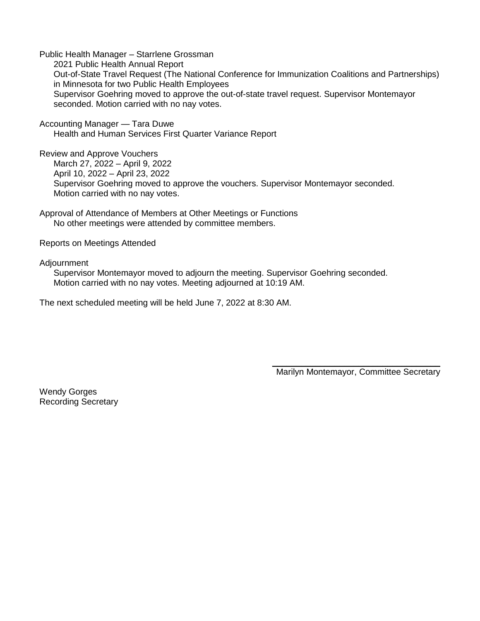Public Health Manager – Starrlene Grossman 2021 Public Health Annual Report Out-of-State Travel Request (The National Conference for Immunization Coalitions and Partnerships) in Minnesota for two Public Health Employees Supervisor Goehring moved to approve the out-of-state travel request. Supervisor Montemayor seconded. Motion carried with no nay votes.

Accounting Manager — Tara Duwe Health and Human Services First Quarter Variance Report

Review and Approve Vouchers March 27, 2022 – April 9, 2022 April 10, 2022 – April 23, 2022 Supervisor Goehring moved to approve the vouchers. Supervisor Montemayor seconded. Motion carried with no nay votes.

Approval of Attendance of Members at Other Meetings or Functions No other meetings were attended by committee members.

Reports on Meetings Attended

Adjournment

Supervisor Montemayor moved to adjourn the meeting. Supervisor Goehring seconded. Motion carried with no nay votes. Meeting adjourned at 10:19 AM.

The next scheduled meeting will be held June 7, 2022 at 8:30 AM.

\_\_\_\_\_\_\_\_\_\_\_\_\_\_\_\_\_\_\_\_\_\_\_\_\_\_\_\_\_\_\_\_\_\_\_ Marilyn Montemayor, Committee Secretary

Wendy Gorges Recording Secretary